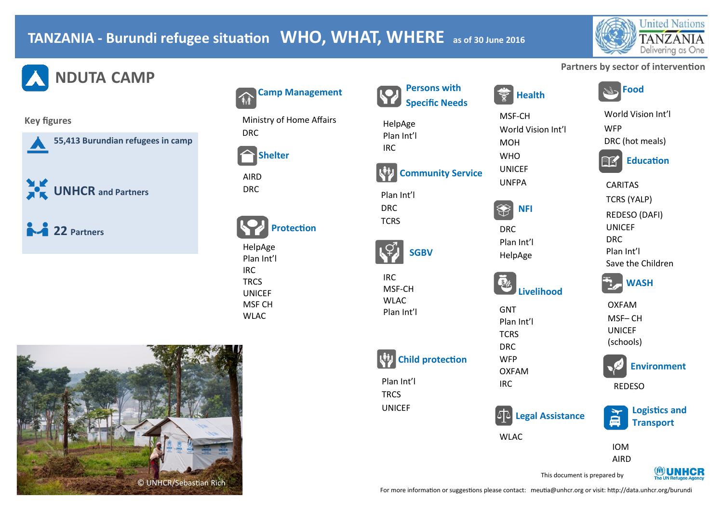## **TANZANIA - Burundi refugee situation WHO, WHAT, WHERE as of 30 June 2016**



## **Partners by sector of intervention**

World Vision Int'l

DRC (hot meals)

**Education** 

WFP

CARITAS TCRS (YALP) REDESO (DAFI)

UNICEF DRC Plan Int'l

**NDUTA CAMP** 

### **Key figures**

**55,413 Burundian refugees in camp** 

**THE UNHCR and Partners** 

**22 Partners** 



Ministry of Home Affairs DRC



AIRD DRC

|  | <b>Protection</b> |
|--|-------------------|
|--|-------------------|

HelpAge Plan Int'l IRC **TRCS UNICEF** MSF CH WLAC



#### **Health Persons with Specific Needs**

MSF-CH **Community Service**

World Vision Int'l MOH **WHO** UNICEF UNFPA



Plan Int'l HelpAge



GNT Plan Int'l **TCRS** DRC WFP OXFAM IRC

**Child protection**

**SGBV**

Plan Int'l **TRCS** UNICEF

IRC MSF-CH **WLAC** Plan Int'l

HelpAge Plan Int'l IRC

Plan Int'l DRC **TCRS** 

**Legal Assistance**

WLAC



**Logistics and Transport**

**Environment**

**WASH**

Save the Children

OXFAM MSF– CH UNICEF (schools)

REDESO

IOM AIRD



This document is prepared by

For more information or suggestions please contact: meutia@unhcr.org or visit: http://data.unhcr.org/burundi